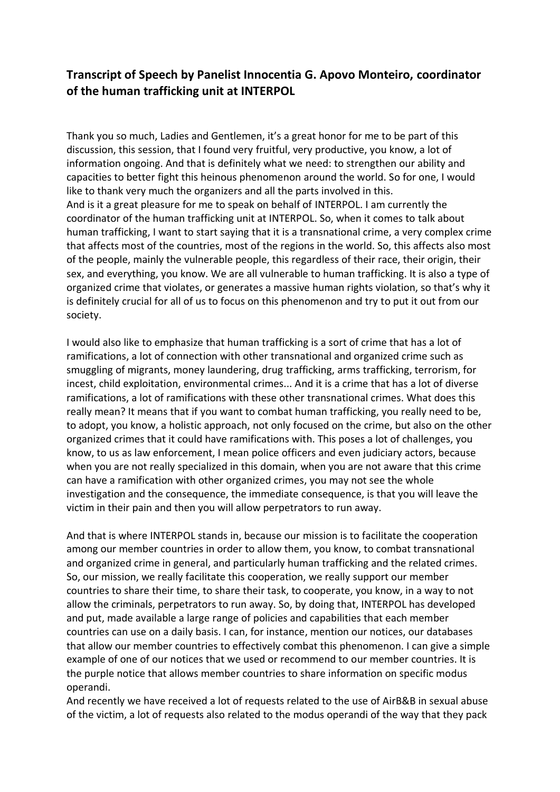## **Transcript of Speech by Panelist Innocentia G. Apovo Monteiro, coordinator of the human trafficking unit at INTERPOL**

Thank you so much, Ladies and Gentlemen, it's a great honor for me to be part of this discussion, this session, that I found very fruitful, very productive, you know, a lot of information ongoing. And that is definitely what we need: to strengthen our ability and capacities to better fight this heinous phenomenon around the world. So for one, I would like to thank very much the organizers and all the parts involved in this. And is it a great pleasure for me to speak on behalf of INTERPOL. I am currently the coordinator of the human trafficking unit at INTERPOL. So, when it comes to talk about human trafficking, I want to start saying that it is a transnational crime, a very complex crime that affects most of the countries, most of the regions in the world. So, this affects also most of the people, mainly the vulnerable people, this regardless of their race, their origin, their sex, and everything, you know. We are all vulnerable to human trafficking. It is also a type of organized crime that violates, or generates a massive human rights violation, so that's why it is definitely crucial for all of us to focus on this phenomenon and try to put it out from our society.

I would also like to emphasize that human trafficking is a sort of crime that has a lot of ramifications, a lot of connection with other transnational and organized crime such as smuggling of migrants, money laundering, drug trafficking, arms trafficking, terrorism, for incest, child exploitation, environmental crimes... And it is a crime that has a lot of diverse ramifications, a lot of ramifications with these other transnational crimes. What does this really mean? It means that if you want to combat human trafficking, you really need to be, to adopt, you know, a holistic approach, not only focused on the crime, but also on the other organized crimes that it could have ramifications with. This poses a lot of challenges, you know, to us as law enforcement, I mean police officers and even judiciary actors, because when you are not really specialized in this domain, when you are not aware that this crime can have a ramification with other organized crimes, you may not see the whole investigation and the consequence, the immediate consequence, is that you will leave the victim in their pain and then you will allow perpetrators to run away.

And that is where INTERPOL stands in, because our mission is to facilitate the cooperation among our member countries in order to allow them, you know, to combat transnational and organized crime in general, and particularly human trafficking and the related crimes. So, our mission, we really facilitate this cooperation, we really support our member countries to share their time, to share their task, to cooperate, you know, in a way to not allow the criminals, perpetrators to run away. So, by doing that, INTERPOL has developed and put, made available a large range of policies and capabilities that each member countries can use on a daily basis. I can, for instance, mention our notices, our databases that allow our member countries to effectively combat this phenomenon. I can give a simple example of one of our notices that we used or recommend to our member countries. It is the purple notice that allows member countries to share information on specific modus operandi.

And recently we have received a lot of requests related to the use of AirB&B in sexual abuse of the victim, a lot of requests also related to the modus operandi of the way that they pack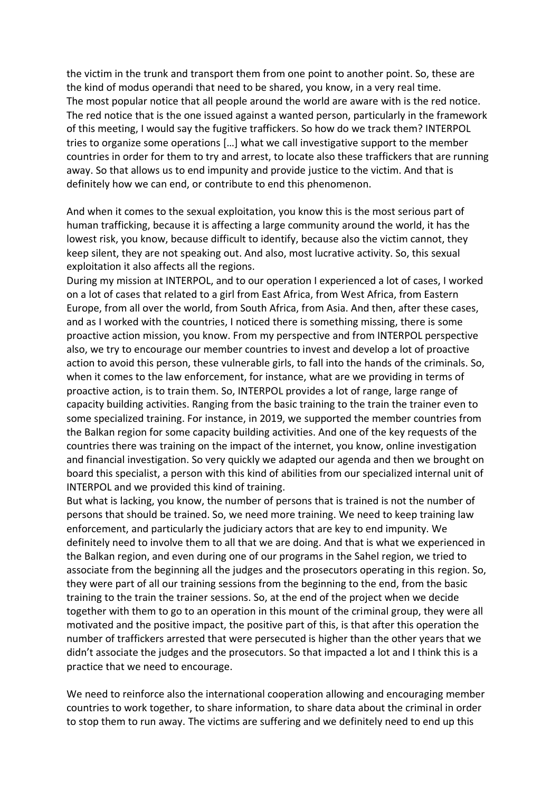the victim in the trunk and transport them from one point to another point. So, these are the kind of modus operandi that need to be shared, you know, in a very real time. The most popular notice that all people around the world are aware with is the red notice. The red notice that is the one issued against a wanted person, particularly in the framework of this meeting, I would say the fugitive traffickers. So how do we track them? INTERPOL tries to organize some operations […] what we call investigative support to the member countries in order for them to try and arrest, to locate also these traffickers that are running away. So that allows us to end impunity and provide justice to the victim. And that is definitely how we can end, or contribute to end this phenomenon.

And when it comes to the sexual exploitation, you know this is the most serious part of human trafficking, because it is affecting a large community around the world, it has the lowest risk, you know, because difficult to identify, because also the victim cannot, they keep silent, they are not speaking out. And also, most lucrative activity. So, this sexual exploitation it also affects all the regions.

During my mission at INTERPOL, and to our operation I experienced a lot of cases, I worked on a lot of cases that related to a girl from East Africa, from West Africa, from Eastern Europe, from all over the world, from South Africa, from Asia. And then, after these cases, and as I worked with the countries, I noticed there is something missing, there is some proactive action mission, you know. From my perspective and from INTERPOL perspective also, we try to encourage our member countries to invest and develop a lot of proactive action to avoid this person, these vulnerable girls, to fall into the hands of the criminals. So, when it comes to the law enforcement, for instance, what are we providing in terms of proactive action, is to train them. So, INTERPOL provides a lot of range, large range of capacity building activities. Ranging from the basic training to the train the trainer even to some specialized training. For instance, in 2019, we supported the member countries from the Balkan region for some capacity building activities. And one of the key requests of the countries there was training on the impact of the internet, you know, online investigation and financial investigation. So very quickly we adapted our agenda and then we brought on board this specialist, a person with this kind of abilities from our specialized internal unit of INTERPOL and we provided this kind of training.

But what is lacking, you know, the number of persons that is trained is not the number of persons that should be trained. So, we need more training. We need to keep training law enforcement, and particularly the judiciary actors that are key to end impunity. We definitely need to involve them to all that we are doing. And that is what we experienced in the Balkan region, and even during one of our programs in the Sahel region, we tried to associate from the beginning all the judges and the prosecutors operating in this region. So, they were part of all our training sessions from the beginning to the end, from the basic training to the train the trainer sessions. So, at the end of the project when we decide together with them to go to an operation in this mount of the criminal group, they were all motivated and the positive impact, the positive part of this, is that after this operation the number of traffickers arrested that were persecuted is higher than the other years that we didn't associate the judges and the prosecutors. So that impacted a lot and I think this is a practice that we need to encourage.

We need to reinforce also the international cooperation allowing and encouraging member countries to work together, to share information, to share data about the criminal in order to stop them to run away. The victims are suffering and we definitely need to end up this